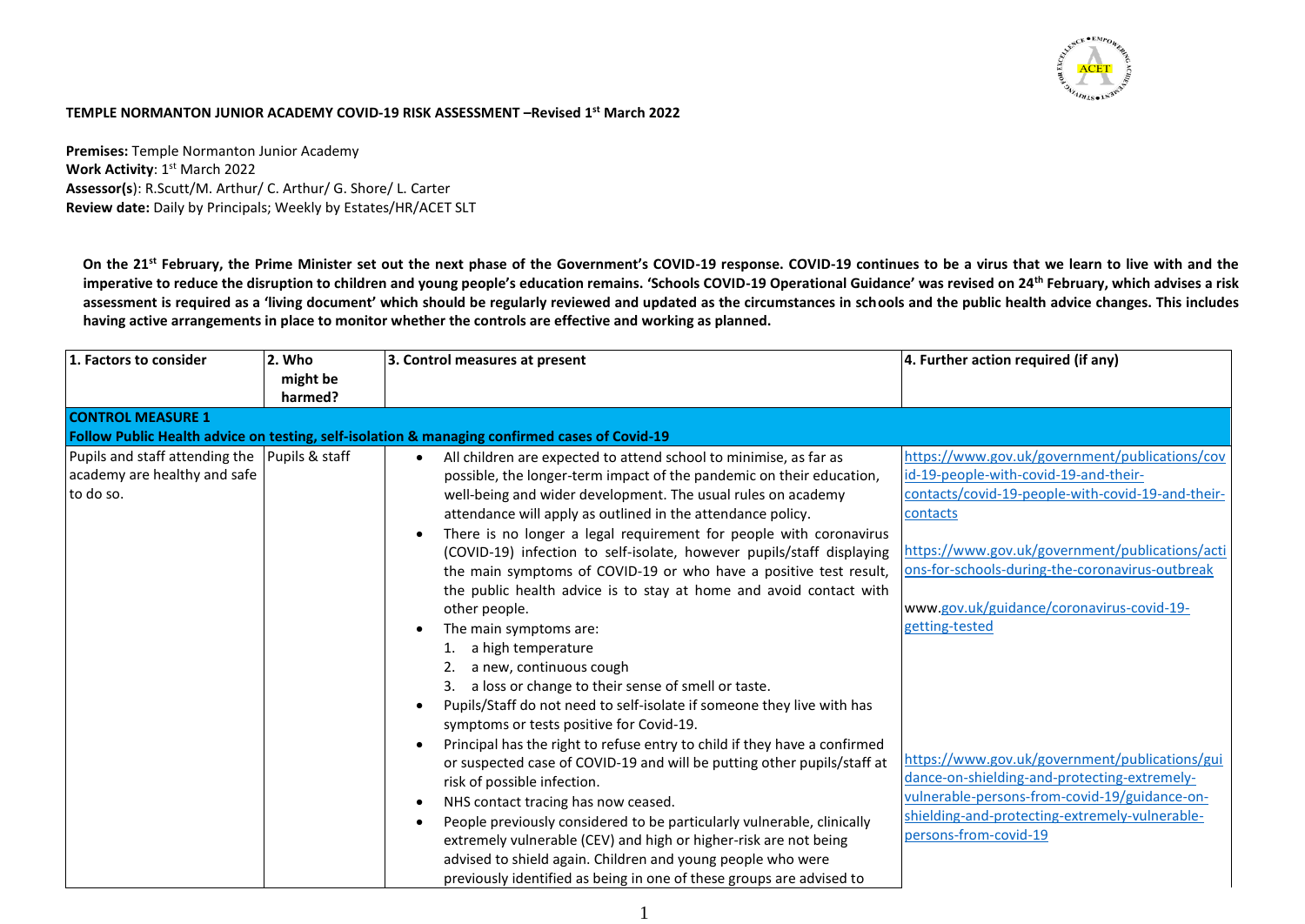

## **TEMPLE NORMANTON JUNIOR ACADEMY COVID-19 RISK ASSESSMENT –Revised 1st March 2022**

**Premises:** Temple Normanton Junior Academy **Work Activity**: 1<sup>st</sup> March 2022 **Assessor(s**): R.Scutt/M. Arthur/ C. Arthur/ G. Shore/ L. Carter **Review date:** Daily by Principals; Weekly by Estates/HR/ACET SLT

**On the 21st February, the Prime Minister set out the next phase of the Government's COVID-19 response. COVID-19 continues to be a virus that we learn to live with and the imperative to reduce the disruption to children and young people's education remains. 'Schools COVID-19 Operational Guidance' was revised on 24th February, which advises a risk assessment is required as a 'living document' which should be regularly reviewed and updated as the circumstances in schools and the public health advice changes. This includes having active arrangements in place to monitor whether the controls are effective and working as planned.** 

| 1. Factors to consider                                     | 2. Who<br>might be<br>harmed? | 3. Control measures at present                                                                                                                                                                                                                                                                                                                                                                                                                                                                                               | 4. Further action required (if any)                                                                                                                                                                                        |
|------------------------------------------------------------|-------------------------------|------------------------------------------------------------------------------------------------------------------------------------------------------------------------------------------------------------------------------------------------------------------------------------------------------------------------------------------------------------------------------------------------------------------------------------------------------------------------------------------------------------------------------|----------------------------------------------------------------------------------------------------------------------------------------------------------------------------------------------------------------------------|
| <b>CONTROL MEASURE 1</b><br>Pupils and staff attending the | Pupils & staff                | Follow Public Health advice on testing, self-isolation & managing confirmed cases of Covid-19<br>All children are expected to attend school to minimise, as far as                                                                                                                                                                                                                                                                                                                                                           | https://www.gov.uk/government/publications/cov                                                                                                                                                                             |
| academy are healthy and safe<br>to do so.                  |                               | possible, the longer-term impact of the pandemic on their education,<br>well-being and wider development. The usual rules on academy<br>attendance will apply as outlined in the attendance policy.<br>There is no longer a legal requirement for people with coronavirus                                                                                                                                                                                                                                                    | id-19-people-with-covid-19-and-their-<br>contacts/covid-19-people-with-covid-19-and-their-<br>contacts                                                                                                                     |
|                                                            |                               | (COVID-19) infection to self-isolate, however pupils/staff displaying<br>the main symptoms of COVID-19 or who have a positive test result,<br>the public health advice is to stay at home and avoid contact with<br>other people.                                                                                                                                                                                                                                                                                            | https://www.gov.uk/government/publications/acti<br>ons-for-schools-during-the-coronavirus-outbreak<br>www.gov.uk/guidance/coronavirus-covid-19-                                                                            |
|                                                            |                               | The main symptoms are:<br>a high temperature<br>a new, continuous cough<br>a loss or change to their sense of smell or taste.<br>Pupils/Staff do not need to self-isolate if someone they live with has<br>٠<br>symptoms or tests positive for Covid-19.                                                                                                                                                                                                                                                                     | getting-tested                                                                                                                                                                                                             |
|                                                            |                               | Principal has the right to refuse entry to child if they have a confirmed<br>or suspected case of COVID-19 and will be putting other pupils/staff at<br>risk of possible infection.<br>NHS contact tracing has now ceased.<br>$\bullet$<br>People previously considered to be particularly vulnerable, clinically<br>extremely vulnerable (CEV) and high or higher-risk are not being<br>advised to shield again. Children and young people who were<br>previously identified as being in one of these groups are advised to | https://www.gov.uk/government/publications/gui<br>dance-on-shielding-and-protecting-extremely-<br>vulnerable-persons-from-covid-19/guidance-on-<br>shielding-and-protecting-extremely-vulnerable-<br>persons-from-covid-19 |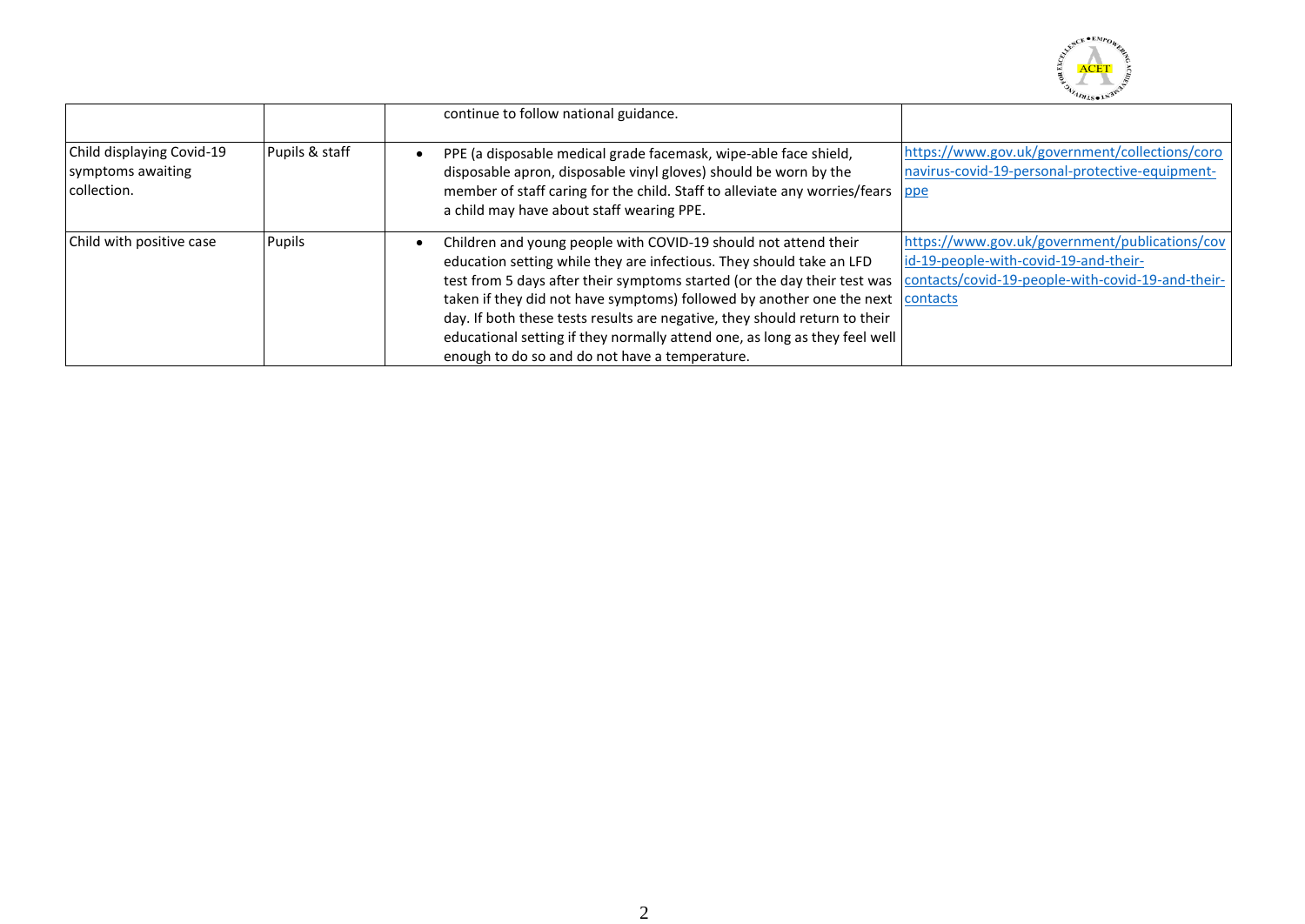

|                                                               |                | continue to follow national guidance.                                                                                                                                                                                                                                                                                                                                                                                                                                                                               |                                                                                                                                              |
|---------------------------------------------------------------|----------------|---------------------------------------------------------------------------------------------------------------------------------------------------------------------------------------------------------------------------------------------------------------------------------------------------------------------------------------------------------------------------------------------------------------------------------------------------------------------------------------------------------------------|----------------------------------------------------------------------------------------------------------------------------------------------|
| Child displaying Covid-19<br>symptoms awaiting<br>collection. | Pupils & staff | PPE (a disposable medical grade facemask, wipe-able face shield,<br>disposable apron, disposable vinyl gloves) should be worn by the<br>member of staff caring for the child. Staff to alleviate any worries/fears<br>a child may have about staff wearing PPE.                                                                                                                                                                                                                                                     | https://www.gov.uk/government/collections/coro<br>navirus-covid-19-personal-protective-equipment-<br>ppe                                     |
| Child with positive case                                      | <b>Pupils</b>  | Children and young people with COVID-19 should not attend their<br>education setting while they are infectious. They should take an LFD<br>test from 5 days after their symptoms started (or the day their test was<br>taken if they did not have symptoms) followed by another one the next contacts<br>day. If both these tests results are negative, they should return to their<br>educational setting if they normally attend one, as long as they feel well<br>enough to do so and do not have a temperature. | https://www.gov.uk/government/publications/cov<br>id-19-people-with-covid-19-and-their-<br>contacts/covid-19-people-with-covid-19-and-their- |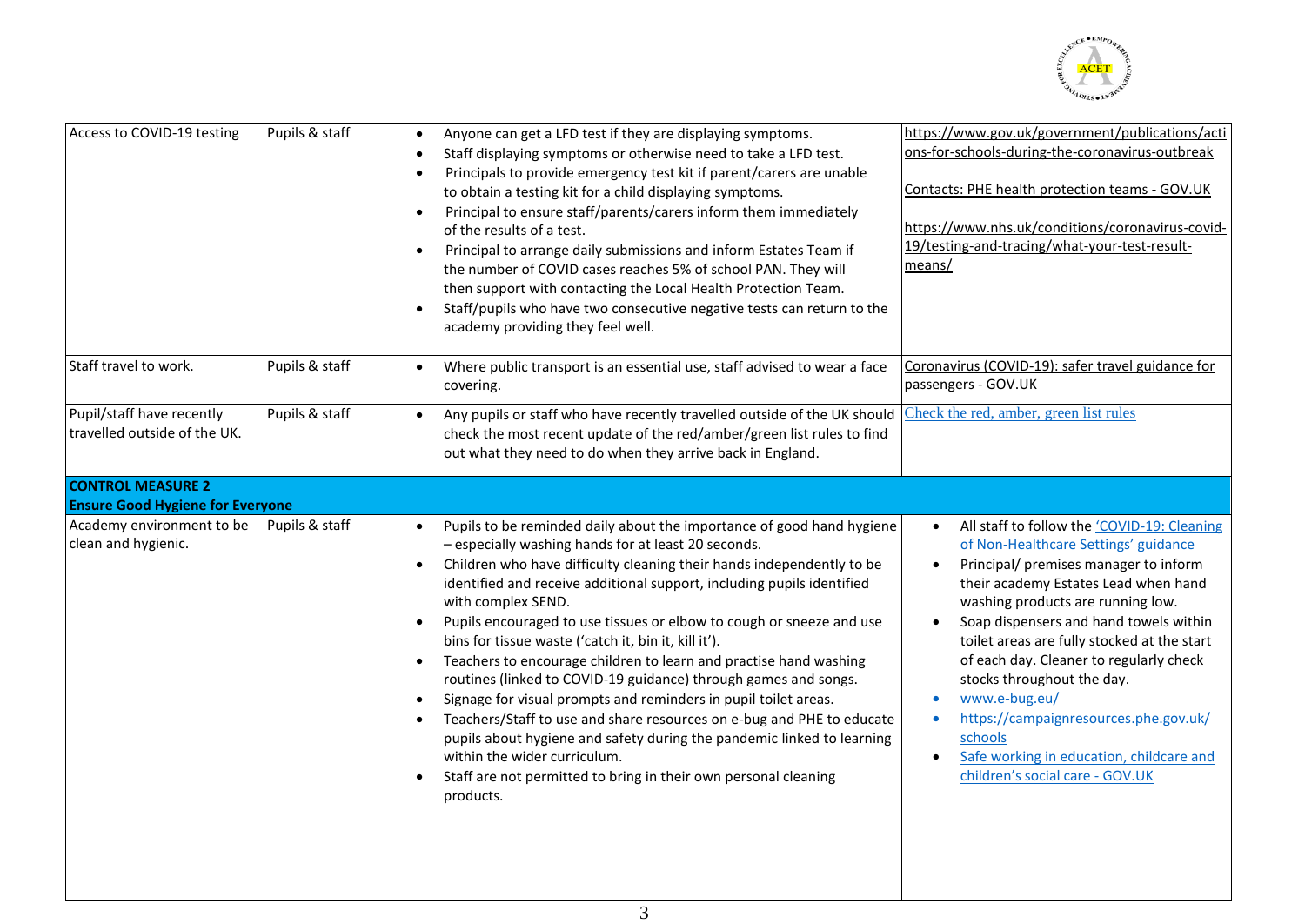

| Access to COVID-19 testing                                          | Pupils & staff | Anyone can get a LFD test if they are displaying symptoms.<br>$\bullet$<br>Staff displaying symptoms or otherwise need to take a LFD test.<br>Principals to provide emergency test kit if parent/carers are unable<br>to obtain a testing kit for a child displaying symptoms.<br>Principal to ensure staff/parents/carers inform them immediately<br>$\bullet$<br>of the results of a test.<br>Principal to arrange daily submissions and inform Estates Team if<br>$\bullet$<br>the number of COVID cases reaches 5% of school PAN. They will<br>then support with contacting the Local Health Protection Team.<br>Staff/pupils who have two consecutive negative tests can return to the<br>academy providing they feel well.                                                                                                                                                                                                                                                     | https://www.gov.uk/government/publications/acti<br>ons-for-schools-during-the-coronavirus-outbreak<br>Contacts: PHE health protection teams - GOV.UK<br>https://www.nhs.uk/conditions/coronavirus-covid-<br>19/testing-and-tracing/what-your-test-result-<br>means/                                                                                                                                                                                                                                                             |
|---------------------------------------------------------------------|----------------|--------------------------------------------------------------------------------------------------------------------------------------------------------------------------------------------------------------------------------------------------------------------------------------------------------------------------------------------------------------------------------------------------------------------------------------------------------------------------------------------------------------------------------------------------------------------------------------------------------------------------------------------------------------------------------------------------------------------------------------------------------------------------------------------------------------------------------------------------------------------------------------------------------------------------------------------------------------------------------------|---------------------------------------------------------------------------------------------------------------------------------------------------------------------------------------------------------------------------------------------------------------------------------------------------------------------------------------------------------------------------------------------------------------------------------------------------------------------------------------------------------------------------------|
| Staff travel to work.                                               | Pupils & staff | Where public transport is an essential use, staff advised to wear a face<br>covering.                                                                                                                                                                                                                                                                                                                                                                                                                                                                                                                                                                                                                                                                                                                                                                                                                                                                                                | Coronavirus (COVID-19): safer travel guidance for<br>passengers - GOV.UK                                                                                                                                                                                                                                                                                                                                                                                                                                                        |
| Pupil/staff have recently<br>travelled outside of the UK.           | Pupils & staff | Any pupils or staff who have recently travelled outside of the UK should<br>$\bullet$<br>check the most recent update of the red/amber/green list rules to find<br>out what they need to do when they arrive back in England.                                                                                                                                                                                                                                                                                                                                                                                                                                                                                                                                                                                                                                                                                                                                                        | Check the red, amber, green list rules                                                                                                                                                                                                                                                                                                                                                                                                                                                                                          |
| <b>CONTROL MEASURE 2</b><br><b>Ensure Good Hygiene for Everyone</b> |                |                                                                                                                                                                                                                                                                                                                                                                                                                                                                                                                                                                                                                                                                                                                                                                                                                                                                                                                                                                                      |                                                                                                                                                                                                                                                                                                                                                                                                                                                                                                                                 |
| Academy environment to be<br>clean and hygienic.                    | Pupils & staff | Pupils to be reminded daily about the importance of good hand hygiene<br>- especially washing hands for at least 20 seconds.<br>Children who have difficulty cleaning their hands independently to be<br>$\bullet$<br>identified and receive additional support, including pupils identified<br>with complex SEND.<br>Pupils encouraged to use tissues or elbow to cough or sneeze and use<br>$\bullet$<br>bins for tissue waste ('catch it, bin it, kill it').<br>Teachers to encourage children to learn and practise hand washing<br>$\bullet$<br>routines (linked to COVID-19 guidance) through games and songs.<br>Signage for visual prompts and reminders in pupil toilet areas.<br>$\bullet$<br>Teachers/Staff to use and share resources on e-bug and PHE to educate<br>$\bullet$<br>pupils about hygiene and safety during the pandemic linked to learning<br>within the wider curriculum.<br>Staff are not permitted to bring in their own personal cleaning<br>products. | All staff to follow the 'COVID-19: Cleaning<br>of Non-Healthcare Settings' guidance<br>Principal/ premises manager to inform<br>their academy Estates Lead when hand<br>washing products are running low.<br>Soap dispensers and hand towels within<br>toilet areas are fully stocked at the start<br>of each day. Cleaner to regularly check<br>stocks throughout the day.<br>www.e-bug.eu/<br>https://campaignresources.phe.gov.uk/<br>schools<br>Safe working in education, childcare and<br>children's social care - GOV.UK |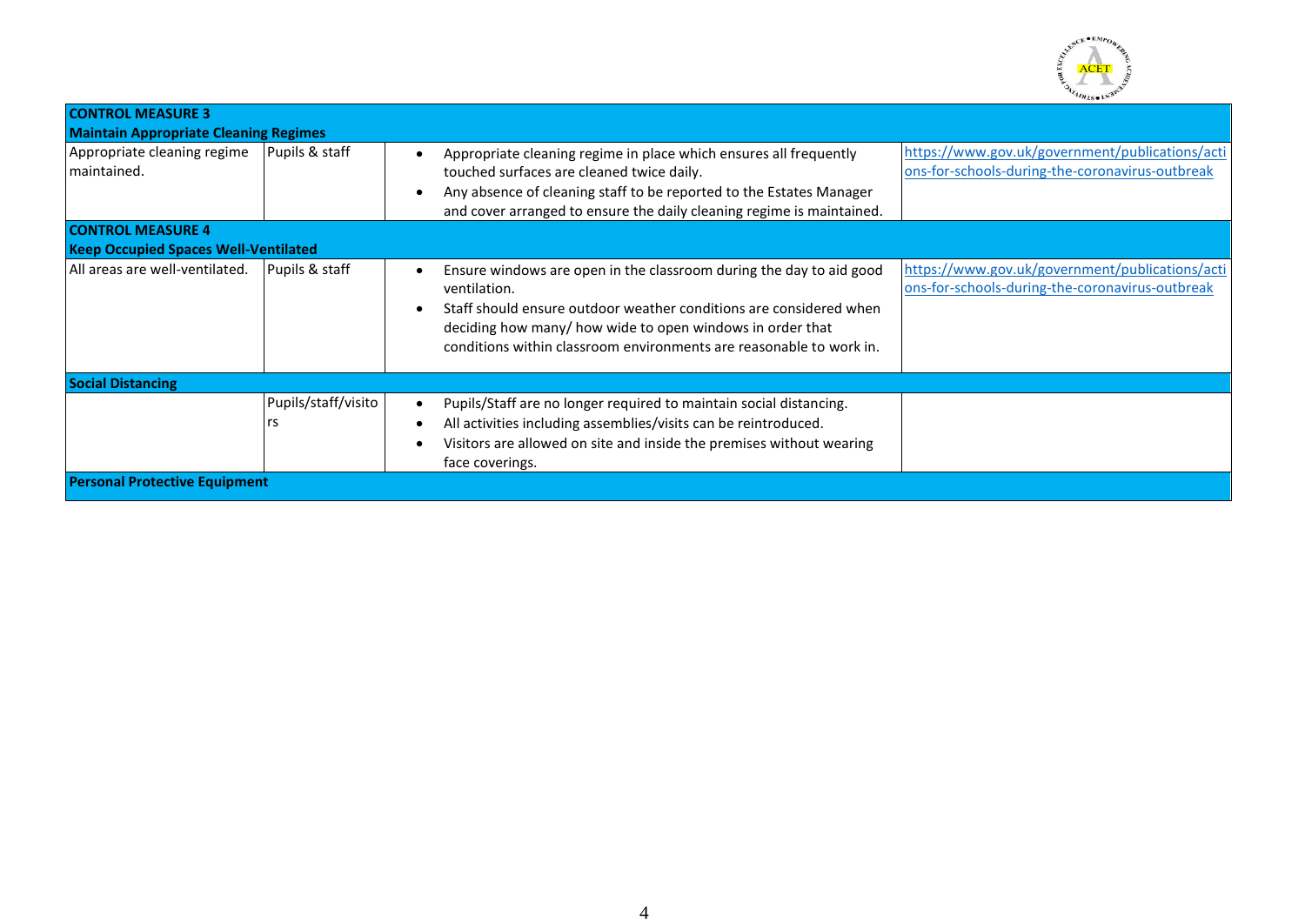

| <b>CONTROL MEASURE 3</b>                     |                     |                                                                                                                                                                                                                                                                                               |                                                                                                    |  |
|----------------------------------------------|---------------------|-----------------------------------------------------------------------------------------------------------------------------------------------------------------------------------------------------------------------------------------------------------------------------------------------|----------------------------------------------------------------------------------------------------|--|
| <b>Maintain Appropriate Cleaning Regimes</b> |                     |                                                                                                                                                                                                                                                                                               |                                                                                                    |  |
| Appropriate cleaning regime<br>maintained.   | Pupils & staff      | Appropriate cleaning regime in place which ensures all frequently<br>touched surfaces are cleaned twice daily.<br>Any absence of cleaning staff to be reported to the Estates Manager<br>$\epsilon$<br>and cover arranged to ensure the daily cleaning regime is maintained.                  | https://www.gov.uk/government/publications/acti<br>ons-for-schools-during-the-coronavirus-outbreak |  |
| <b>CONTROL MEASURE 4</b>                     |                     |                                                                                                                                                                                                                                                                                               |                                                                                                    |  |
| <b>Keep Occupied Spaces Well-Ventilated</b>  |                     |                                                                                                                                                                                                                                                                                               |                                                                                                    |  |
| All areas are well-ventilated.               | Pupils & staff      | Ensure windows are open in the classroom during the day to aid good<br>ventilation.<br>Staff should ensure outdoor weather conditions are considered when<br>deciding how many/ how wide to open windows in order that<br>conditions within classroom environments are reasonable to work in. | https://www.gov.uk/government/publications/acti<br>ons-for-schools-during-the-coronavirus-outbreak |  |
| <b>Social Distancing</b>                     |                     |                                                                                                                                                                                                                                                                                               |                                                                                                    |  |
|                                              | Pupils/staff/visito | Pupils/Staff are no longer required to maintain social distancing.<br>All activities including assemblies/visits can be reintroduced.<br>Visitors are allowed on site and inside the premises without wearing<br>face coverings.                                                              |                                                                                                    |  |
| <b>Personal Protective Equipment</b>         |                     |                                                                                                                                                                                                                                                                                               |                                                                                                    |  |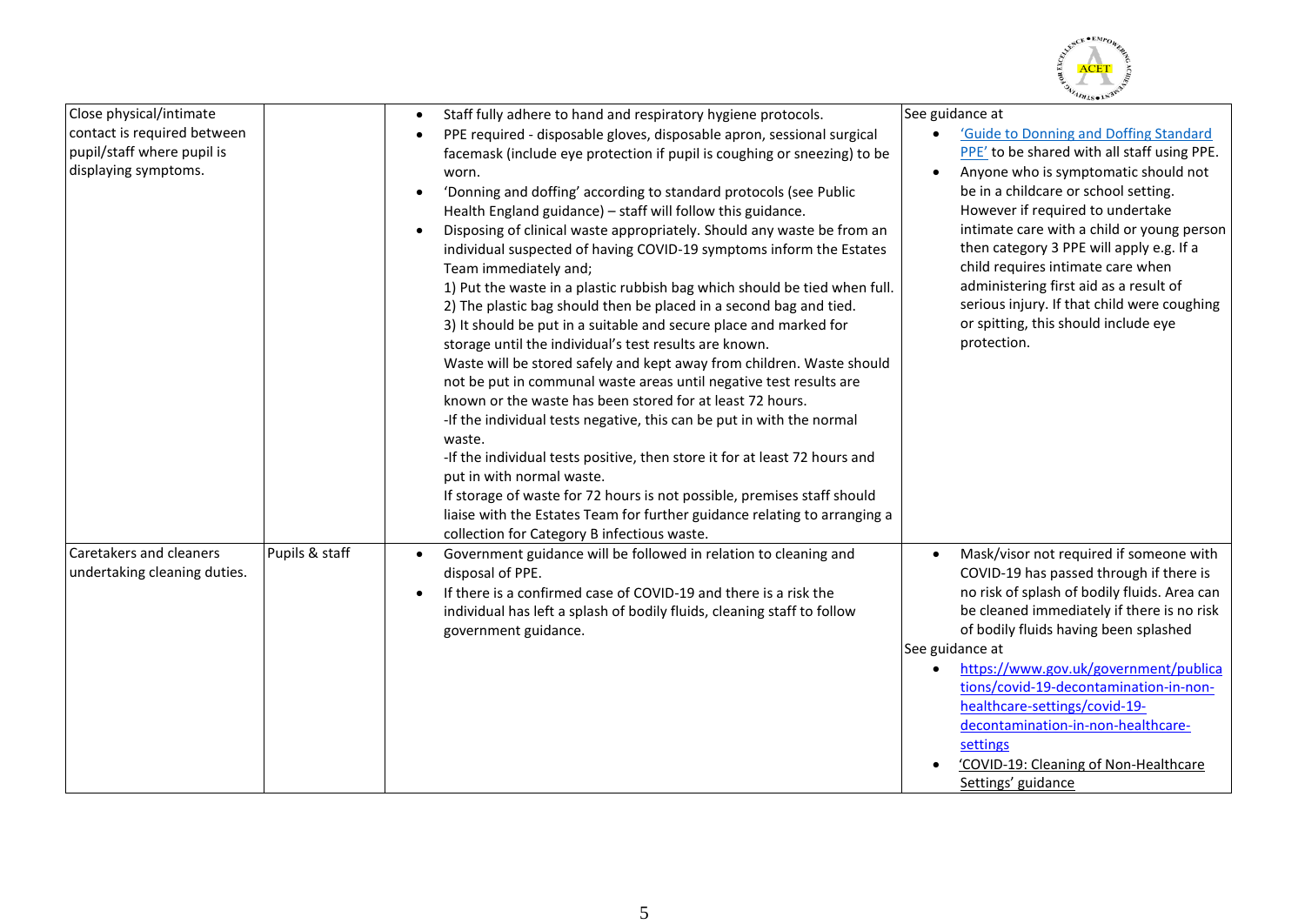

|                                                                                                              |                |                                                                                                                                                                                                                                                                                                                                                                                                                                                                                                                                                                                                                                                                                                                                              | 49780T                                                                                                                                                                                                                                                                                                                                                                                                                                                                                       |
|--------------------------------------------------------------------------------------------------------------|----------------|----------------------------------------------------------------------------------------------------------------------------------------------------------------------------------------------------------------------------------------------------------------------------------------------------------------------------------------------------------------------------------------------------------------------------------------------------------------------------------------------------------------------------------------------------------------------------------------------------------------------------------------------------------------------------------------------------------------------------------------------|----------------------------------------------------------------------------------------------------------------------------------------------------------------------------------------------------------------------------------------------------------------------------------------------------------------------------------------------------------------------------------------------------------------------------------------------------------------------------------------------|
| Close physical/intimate<br>contact is required between<br>pupil/staff where pupil is<br>displaying symptoms. |                | Staff fully adhere to hand and respiratory hygiene protocols.<br>$\bullet$<br>PPE required - disposable gloves, disposable apron, sessional surgical<br>facemask (include eye protection if pupil is coughing or sneezing) to be<br>worn.<br>'Donning and doffing' according to standard protocols (see Public<br>Health England guidance) - staff will follow this guidance.<br>Disposing of clinical waste appropriately. Should any waste be from an<br>$\bullet$<br>individual suspected of having COVID-19 symptoms inform the Estates<br>Team immediately and;<br>1) Put the waste in a plastic rubbish bag which should be tied when full.<br>2) The plastic bag should then be placed in a second bag and tied.                      | See guidance at<br>'Guide to Donning and Doffing Standard<br>PPE' to be shared with all staff using PPE.<br>Anyone who is symptomatic should not<br>be in a childcare or school setting.<br>However if required to undertake<br>intimate care with a child or young person<br>then category 3 PPE will apply e.g. If a<br>child requires intimate care when<br>administering first aid as a result of<br>serious injury. If that child were coughing<br>or spitting, this should include eye |
|                                                                                                              |                | 3) It should be put in a suitable and secure place and marked for<br>storage until the individual's test results are known.<br>Waste will be stored safely and kept away from children. Waste should<br>not be put in communal waste areas until negative test results are<br>known or the waste has been stored for at least 72 hours.<br>-If the individual tests negative, this can be put in with the normal<br>waste.<br>-If the individual tests positive, then store it for at least 72 hours and<br>put in with normal waste.<br>If storage of waste for 72 hours is not possible, premises staff should<br>liaise with the Estates Team for further guidance relating to arranging a<br>collection for Category B infectious waste. | protection.                                                                                                                                                                                                                                                                                                                                                                                                                                                                                  |
| Caretakers and cleaners<br>undertaking cleaning duties.                                                      | Pupils & staff | Government guidance will be followed in relation to cleaning and<br>$\bullet$<br>disposal of PPE.<br>If there is a confirmed case of COVID-19 and there is a risk the<br>$\bullet$<br>individual has left a splash of bodily fluids, cleaning staff to follow<br>government guidance.                                                                                                                                                                                                                                                                                                                                                                                                                                                        | Mask/visor not required if someone with<br>COVID-19 has passed through if there is<br>no risk of splash of bodily fluids. Area can<br>be cleaned immediately if there is no risk<br>of bodily fluids having been splashed<br>See guidance at<br>https://www.gov.uk/government/publica<br>tions/covid-19-decontamination-in-non-<br>healthcare-settings/covid-19-<br>decontamination-in-non-healthcare-<br>settings<br>'COVID-19: Cleaning of Non-Healthcare<br>Settings' guidance            |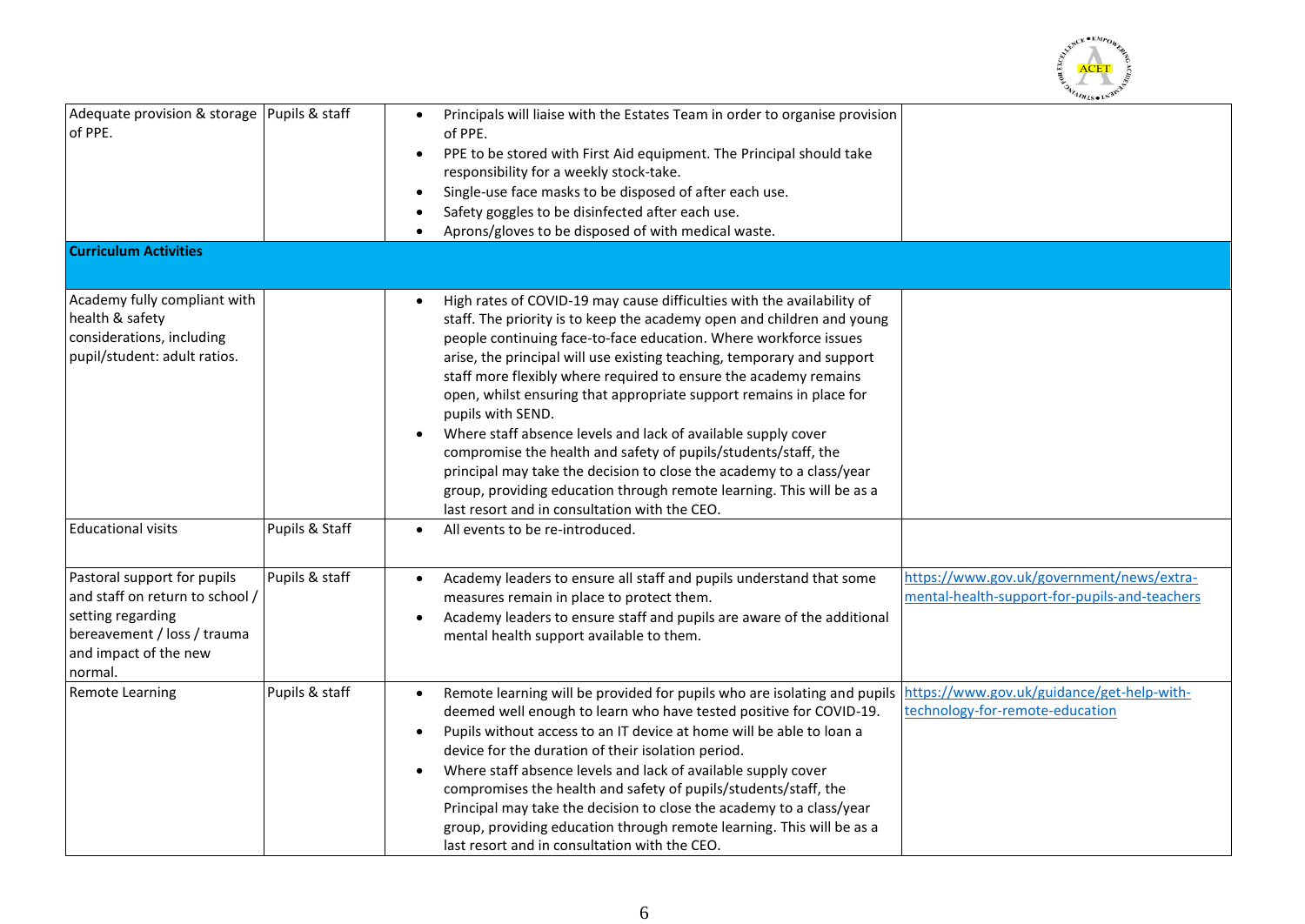

| Adequate provision & storage   Pupils & staff<br>of PPE.                                                                                               |                | Principals will liaise with the Estates Team in order to organise provision<br>of PPE.<br>PPE to be stored with First Aid equipment. The Principal should take<br>responsibility for a weekly stock-take.<br>Single-use face masks to be disposed of after each use.<br>Safety goggles to be disinfected after each use.<br>Aprons/gloves to be disposed of with medical waste.                                                                                                                                                                                                                                                                                                                                                                                                                                  |
|--------------------------------------------------------------------------------------------------------------------------------------------------------|----------------|------------------------------------------------------------------------------------------------------------------------------------------------------------------------------------------------------------------------------------------------------------------------------------------------------------------------------------------------------------------------------------------------------------------------------------------------------------------------------------------------------------------------------------------------------------------------------------------------------------------------------------------------------------------------------------------------------------------------------------------------------------------------------------------------------------------|
| <b>Curriculum Activities</b>                                                                                                                           |                |                                                                                                                                                                                                                                                                                                                                                                                                                                                                                                                                                                                                                                                                                                                                                                                                                  |
|                                                                                                                                                        |                |                                                                                                                                                                                                                                                                                                                                                                                                                                                                                                                                                                                                                                                                                                                                                                                                                  |
| Academy fully compliant with<br>health & safety<br>considerations, including<br>pupil/student: adult ratios.                                           |                | High rates of COVID-19 may cause difficulties with the availability of<br>staff. The priority is to keep the academy open and children and young<br>people continuing face-to-face education. Where workforce issues<br>arise, the principal will use existing teaching, temporary and support<br>staff more flexibly where required to ensure the academy remains<br>open, whilst ensuring that appropriate support remains in place for<br>pupils with SEND.<br>Where staff absence levels and lack of available supply cover<br>$\bullet$<br>compromise the health and safety of pupils/students/staff, the<br>principal may take the decision to close the academy to a class/year<br>group, providing education through remote learning. This will be as a<br>last resort and in consultation with the CEO. |
| <b>Educational visits</b>                                                                                                                              | Pupils & Staff | All events to be re-introduced.<br>$\bullet$                                                                                                                                                                                                                                                                                                                                                                                                                                                                                                                                                                                                                                                                                                                                                                     |
| Pastoral support for pupils<br>and staff on return to school /<br>setting regarding<br>bereavement / loss / trauma<br>and impact of the new<br>normal. | Pupils & staff | https://www.gov.uk/government/news/extra-<br>Academy leaders to ensure all staff and pupils understand that some<br>mental-health-support-for-pupils-and-teachers<br>measures remain in place to protect them.<br>Academy leaders to ensure staff and pupils are aware of the additional<br>٠<br>mental health support available to them.                                                                                                                                                                                                                                                                                                                                                                                                                                                                        |
| <b>Remote Learning</b>                                                                                                                                 | Pupils & staff | https://www.gov.uk/guidance/get-help-with-<br>Remote learning will be provided for pupils who are isolating and pupils<br>$\bullet$<br>technology-for-remote-education<br>deemed well enough to learn who have tested positive for COVID-19.<br>Pupils without access to an IT device at home will be able to loan a<br>$\bullet$<br>device for the duration of their isolation period.<br>Where staff absence levels and lack of available supply cover<br>$\bullet$<br>compromises the health and safety of pupils/students/staff, the<br>Principal may take the decision to close the academy to a class/year<br>group, providing education through remote learning. This will be as a<br>last resort and in consultation with the CEO.                                                                       |